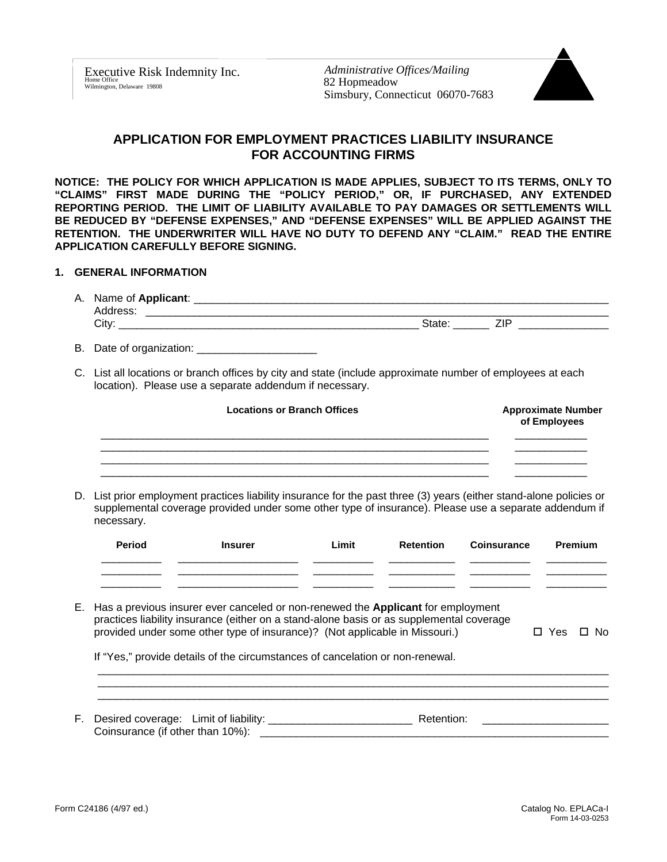Executive Risk Indemnity Inc. Home Office **Example 2022 CONSUMED** 2022 Hopmeadow **82 Hopmeadow** 82 **Mondalow** 82 **Mondalow** 82 **Mondalow** 

*Administrative Offices/Mailing* Simsbury, Connecticut 06070-7683



# **APPLICATION FOR EMPLOYMENT PRACTICES LIABILITY INSURANCE FOR ACCOUNTING FIRMS**

**NOTICE: THE POLICY FOR WHICH APPLICATION IS MADE APPLIES, SUBJECT TO ITS TERMS, ONLY TO "CLAIMS" FIRST MADE DURING THE "POLICY PERIOD," OR, IF PURCHASED, ANY EXTENDED REPORTING PERIOD. THE LIMIT OF LIABILITY AVAILABLE TO PAY DAMAGES OR SETTLEMENTS WILL BE REDUCED BY "DEFENSE EXPENSES," AND "DEFENSE EXPENSES" WILL BE APPLIED AGAINST THE RETENTION. THE UNDERWRITER WILL HAVE NO DUTY TO DEFEND ANY "CLAIM." READ THE ENTIRE APPLICATION CAREFULLY BEFORE SIGNING.**

## **1. GENERAL INFORMATION**

| А. | Name of Applicant: |    |  |
|----|--------------------|----|--|
|    | dress              |    |  |
|    | ∵itv               | -- |  |
|    |                    |    |  |

- B. Date of organization:
- C. List all locations or branch offices by city and state (include approximate number of employees at each location). Please use a separate addendum if necessary.

| <b>Locations or Branch Offices</b> | <b>Approximate Number</b><br>of Employees |
|------------------------------------|-------------------------------------------|
|                                    |                                           |
|                                    |                                           |

D. List prior employment practices liability insurance for the past three (3) years (either stand-alone policies or supplemental coverage provided under some other type of insurance). Please use a separate addendum if necessary.

| <b>Period</b> | <b>Insurer</b> | Limit | Retention | <b>Coinsurance</b> | Premium |
|---------------|----------------|-------|-----------|--------------------|---------|
|               |                |       |           |                    |         |
|               |                |       |           |                    |         |

E. Has a previous insurer ever canceled or non-renewed the **Applicant** for employment practices liability insurance (either on a stand-alone basis or as supplemental coverage provided under some other type of insurance)? (Not applicable in Missouri.)  $\square$  Yes  $\square$  No

If "Yes," provide details of the circumstances of cancelation or non-renewal.

| F. | Desired coverage:          | Limit of liability: |  |
|----|----------------------------|---------------------|--|
|    | :cinsurance (if other than | .,10%               |  |

 $\_$  , and the set of the set of the set of the set of the set of the set of the set of the set of the set of the set of the set of the set of the set of the set of the set of the set of the set of the set of the set of th \_\_\_\_\_\_\_\_\_\_\_\_\_\_\_\_\_\_\_\_\_\_\_\_\_\_\_\_\_\_\_\_\_\_\_\_\_\_\_\_\_\_\_\_\_\_\_\_\_\_\_\_\_\_\_\_\_\_\_\_\_\_\_\_\_\_\_\_\_\_\_\_\_\_\_\_\_\_\_\_\_\_\_\_\_  $\_$  , and the set of the set of the set of the set of the set of the set of the set of the set of the set of the set of the set of the set of the set of the set of the set of the set of the set of the set of the set of th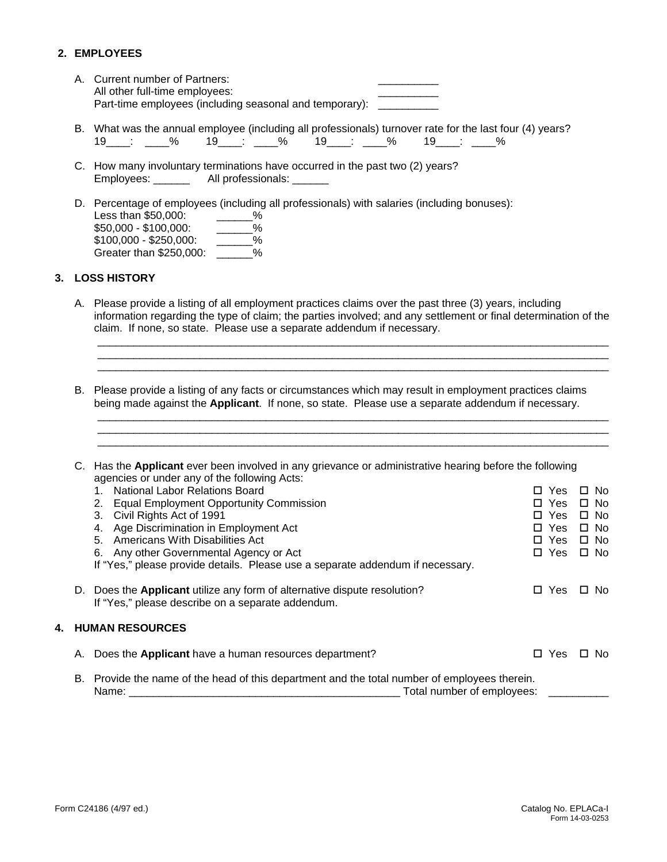# **2. EMPLOYEES**

- A. Current number of Partners: All other full-time employees: Part-time employees (including seasonal and temporary): \_\_\_\_\_\_\_\_\_\_\_\_\_\_\_\_\_\_\_\_\_\_\_\_
- B. What was the annual employee (including all professionals) turnover rate for the last four (4) years? 19\_\_\_\_: \_\_\_\_% 19\_\_\_\_: \_\_\_\_% 19\_\_\_\_: \_\_\_\_% 19\_\_\_\_: \_\_\_\_%
- C. How many involuntary terminations have occurred in the past two (2) years? Employees: \_\_\_\_\_\_\_\_ All professionals: \_\_\_\_\_\_
- D. Percentage of employees (including all professionals) with salaries (including bonuses): Less than \$50,000:  $\frac{20}{100}$  = 0.000 = \$100,000:  $\frac{20}{100}$  %  $$50,000 - $100,000:$   $---\%$ <br> $$100,000 - $250,000:$  %  $$100,000 - $250,000$ : Greater than \$250,000:  $\%$

## **3. LOSS HISTORY**

A. Please provide a listing of all employment practices claims over the past three (3) years, including information regarding the type of claim; the parties involved; and any settlement or final determination of the claim. If none, so state. Please use a separate addendum if necessary.

 $\_$  , and the set of the set of the set of the set of the set of the set of the set of the set of the set of the set of the set of the set of the set of the set of the set of the set of the set of the set of the set of th \_\_\_\_\_\_\_\_\_\_\_\_\_\_\_\_\_\_\_\_\_\_\_\_\_\_\_\_\_\_\_\_\_\_\_\_\_\_\_\_\_\_\_\_\_\_\_\_\_\_\_\_\_\_\_\_\_\_\_\_\_\_\_\_\_\_\_\_\_\_\_\_\_\_\_\_\_\_\_\_\_\_\_\_\_  $\_$  , and the set of the set of the set of the set of the set of the set of the set of the set of the set of the set of the set of the set of the set of the set of the set of the set of the set of the set of the set of th

\_\_\_\_\_\_\_\_\_\_\_\_\_\_\_\_\_\_\_\_\_\_\_\_\_\_\_\_\_\_\_\_\_\_\_\_\_\_\_\_\_\_\_\_\_\_\_\_\_\_\_\_\_\_\_\_\_\_\_\_\_\_\_\_\_\_\_\_\_\_\_\_\_\_\_\_\_\_\_\_\_\_\_\_\_  $\_$  , and the set of the set of the set of the set of the set of the set of the set of the set of the set of the set of the set of the set of the set of the set of the set of the set of the set of the set of the set of th \_\_\_\_\_\_\_\_\_\_\_\_\_\_\_\_\_\_\_\_\_\_\_\_\_\_\_\_\_\_\_\_\_\_\_\_\_\_\_\_\_\_\_\_\_\_\_\_\_\_\_\_\_\_\_\_\_\_\_\_\_\_\_\_\_\_\_\_\_\_\_\_\_\_\_\_\_\_\_\_\_\_\_\_\_

B. Please provide a listing of any facts or circumstances which may result in employment practices claims being made against the **Applicant**. If none, so state. Please use a separate addendum if necessary.

|                                                                                                  | C. Has the Applicant ever been involved in any grievance or administrative hearing before the following |                     |           |
|--------------------------------------------------------------------------------------------------|---------------------------------------------------------------------------------------------------------|---------------------|-----------|
|                                                                                                  | agencies or under any of the following Acts:                                                            |                     |           |
|                                                                                                  | National Labor Relations Board                                                                          | Yes                 | □ No      |
|                                                                                                  | <b>Equal Employment Opportunity Commission</b><br>2.                                                    | Yes<br>П.           | □ No      |
|                                                                                                  | Civil Rights Act of 1991<br>3.                                                                          | Yes<br>П.           | $\Box$ No |
|                                                                                                  | 4. Age Discrimination in Employment Act                                                                 | Yes<br>П.           | $\Box$ No |
|                                                                                                  | 5. Americans With Disabilities Act                                                                      | □ Yes               | □ No      |
|                                                                                                  | 6. Any other Governmental Agency or Act                                                                 | □ Yes               | □ No      |
|                                                                                                  | If "Yes," please provide details. Please use a separate addendum if necessary.                          |                     |           |
|                                                                                                  |                                                                                                         |                     |           |
|                                                                                                  | D. Does the Applicant utilize any form of alternative dispute resolution?                               | Yes<br>$\mathsf{L}$ | □ No      |
|                                                                                                  | If "Yes," please describe on a separate addendum.                                                       |                     |           |
|                                                                                                  |                                                                                                         |                     |           |
|                                                                                                  | <b>4. HUMAN RESOURCES</b>                                                                               |                     |           |
|                                                                                                  |                                                                                                         |                     |           |
| А.                                                                                               | Does the <b>Applicant</b> have a human resources department?                                            | Yes<br>$\mathsf{L}$ | □ No      |
|                                                                                                  |                                                                                                         |                     |           |
| Provide the name of the head of this department and the total number of employees therein.<br>В. |                                                                                                         |                     |           |
| Total number of employees:<br>Name:                                                              |                                                                                                         |                     |           |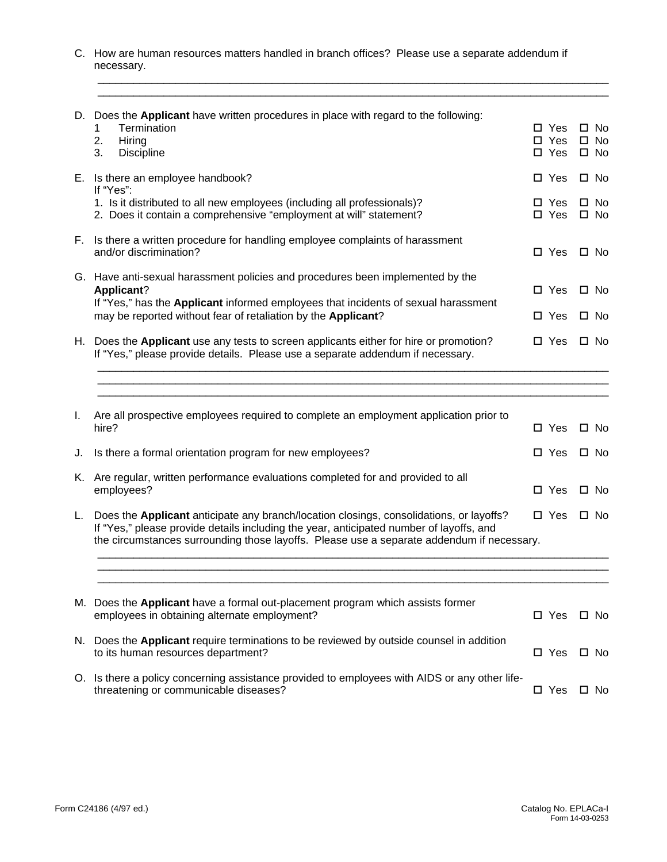C. How are human resources matters handled in branch offices? Please use a separate addendum if necessary.

\_\_\_\_\_\_\_\_\_\_\_\_\_\_\_\_\_\_\_\_\_\_\_\_\_\_\_\_\_\_\_\_\_\_\_\_\_\_\_\_\_\_\_\_\_\_\_\_\_\_\_\_\_\_\_\_\_\_\_\_\_\_\_\_\_\_\_\_\_\_\_\_\_\_\_\_\_\_\_\_\_\_\_\_\_

|    | D. Does the Applicant have written procedures in place with regard to the following:<br>Termination<br>1<br>Hiring<br>2.<br>3.<br><b>Discipline</b>                                                                                                                             | $\Box$ Yes<br>$\Box$ Yes<br>$\Box$ Yes | $\square$ No<br>$\square$ No<br>$\square$ No |
|----|---------------------------------------------------------------------------------------------------------------------------------------------------------------------------------------------------------------------------------------------------------------------------------|----------------------------------------|----------------------------------------------|
|    | E. Is there an employee handbook?                                                                                                                                                                                                                                               | $\Box$ Yes                             | $\square$ No                                 |
|    | If "Yes":<br>1. Is it distributed to all new employees (including all professionals)?<br>2. Does it contain a comprehensive "employment at will" statement?                                                                                                                     | $\Box$ Yes<br>□ Yes                    | $\square$ No<br>$\square$ No                 |
|    | F. Is there a written procedure for handling employee complaints of harassment<br>and/or discrimination?                                                                                                                                                                        | $\Box$ Yes                             | $\square$ No                                 |
|    | G. Have anti-sexual harassment policies and procedures been implemented by the<br><b>Applicant?</b>                                                                                                                                                                             | $\Box$ Yes                             | $\square$ No                                 |
|    | If "Yes," has the Applicant informed employees that incidents of sexual harassment<br>may be reported without fear of retaliation by the Applicant?                                                                                                                             | $\square$ Yes                          | $\square$ No                                 |
|    | H. Does the Applicant use any tests to screen applicants either for hire or promotion?<br>If "Yes," please provide details. Please use a separate addendum if necessary.                                                                                                        | □ Yes                                  | $\square$ No                                 |
|    |                                                                                                                                                                                                                                                                                 |                                        |                                              |
| I. | Are all prospective employees required to complete an employment application prior to<br>hire?                                                                                                                                                                                  | □ Yes                                  | □ No                                         |
| J. | Is there a formal orientation program for new employees?                                                                                                                                                                                                                        | □ Yes                                  | $\square$ No                                 |
|    | K. Are regular, written performance evaluations completed for and provided to all<br>employees?                                                                                                                                                                                 | $\square$ Yes                          | $\square$ No                                 |
| L. | Does the Applicant anticipate any branch/location closings, consolidations, or layoffs?<br>If "Yes," please provide details including the year, anticipated number of layoffs, and<br>the circumstances surrounding those layoffs. Please use a separate addendum if necessary. | $\square$ Yes                          | $\square$ No                                 |
|    |                                                                                                                                                                                                                                                                                 |                                        |                                              |
|    | M. Does the Applicant have a formal out-placement program which assists former<br>employees in obtaining alternate employment?                                                                                                                                                  | $\square$ Yes                          | □ No                                         |
|    | N. Does the Applicant require terminations to be reviewed by outside counsel in addition                                                                                                                                                                                        |                                        |                                              |

O. Is there a policy concerning assistance provided to employees with AIDS or any other lifethreatening or communicable diseases?  $\square$  Yes  $\square$  No

to its human resources department?  $\square$  Yes  $\square$  No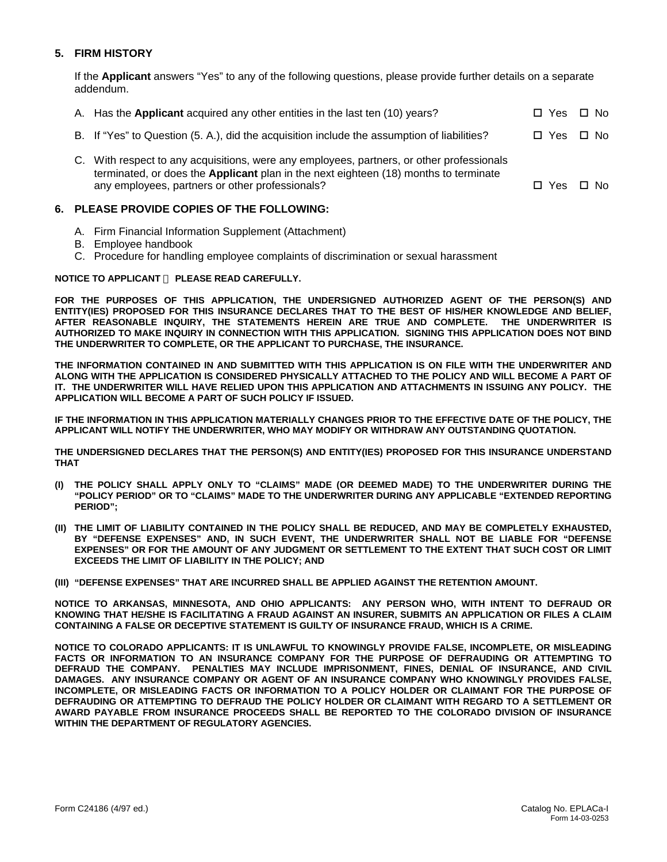## **5. FIRM HISTORY**

If the **Applicant** answers "Yes" to any of the following questions, please provide further details on a separate addendum.

| A. Has the <b>Applicant</b> acquired any other entities in the last ten (10) years?         | □ Yes □ No |  |
|---------------------------------------------------------------------------------------------|------------|--|
| B. If "Yes" to Question (5. A.), did the acquisition include the assumption of liabilities? | □ Yes □ No |  |
| C. With respect to any acquisitions, were any employees, partners, or other professionals   |            |  |

terminated, or does the **Applicant** plan in the next eighteen (18) months to terminate any employees, partners or other professionals?  $\square$  Yes  $\square$  No

## **6. PLEASE PROVIDE COPIES OF THE FOLLOWING:**

- A. Firm Financial Information Supplement (Attachment)
- B. Employee handbook
- C. Procedure for handling employee complaints of discrimination or sexual harassment

## **NOTICE TO APPLICANT ¾ PLEASE READ CAREFULLY.**

**FOR THE PURPOSES OF THIS APPLICATION, THE UNDERSIGNED AUTHORIZED AGENT OF THE PERSON(S) AND ENTITY(IES) PROPOSED FOR THIS INSURANCE DECLARES THAT TO THE BEST OF HIS/HER KNOWLEDGE AND BELIEF, AFTER REASONABLE INQUIRY, THE STATEMENTS HEREIN ARE TRUE AND COMPLETE. THE UNDERWRITER IS AUTHORIZED TO MAKE INQUIRY IN CONNECTION WITH THIS APPLICATION. SIGNING THIS APPLICATION DOES NOT BIND THE UNDERWRITER TO COMPLETE, OR THE APPLICANT TO PURCHASE, THE INSURANCE.**

**THE INFORMATION CONTAINED IN AND SUBMITTED WITH THIS APPLICATION IS ON FILE WITH THE UNDERWRITER AND ALONG WITH THE APPLICATION IS CONSIDERED PHYSICALLY ATTACHED TO THE POLICY AND WILL BECOME A PART OF IT. THE UNDERWRITER WILL HAVE RELIED UPON THIS APPLICATION AND ATTACHMENTS IN ISSUING ANY POLICY. THE APPLICATION WILL BECOME A PART OF SUCH POLICY IF ISSUED.**

**IF THE INFORMATION IN THIS APPLICATION MATERIALLY CHANGES PRIOR TO THE EFFECTIVE DATE OF THE POLICY, THE APPLICANT WILL NOTIFY THE UNDERWRITER, WHO MAY MODIFY OR WITHDRAW ANY OUTSTANDING QUOTATION.**

**THE UNDERSIGNED DECLARES THAT THE PERSON(S) AND ENTITY(IES) PROPOSED FOR THIS INSURANCE UNDERSTAND THAT**

- THE POLICY SHALL APPLY ONLY TO "CLAIMS" MADE (OR DEEMED MADE) TO THE UNDERWRITER DURING THE **"POLICY PERIOD" OR TO "CLAIMS" MADE TO THE UNDERWRITER DURING ANY APPLICABLE "EXTENDED REPORTING PERIOD";**
- **(II) THE LIMIT OF LIABILITY CONTAINED IN THE POLICY SHALL BE REDUCED, AND MAY BE COMPLETELY EXHAUSTED, BY "DEFENSE EXPENSES" AND, IN SUCH EVENT, THE UNDERWRITER SHALL NOT BE LIABLE FOR "DEFENSE EXPENSES" OR FOR THE AMOUNT OF ANY JUDGMENT OR SETTLEMENT TO THE EXTENT THAT SUCH COST OR LIMIT EXCEEDS THE LIMIT OF LIABILITY IN THE POLICY; AND**
- **(III) "DEFENSE EXPENSES" THAT ARE INCURRED SHALL BE APPLIED AGAINST THE RETENTION AMOUNT.**

**NOTICE TO ARKANSAS, MINNESOTA, AND OHIO APPLICANTS: ANY PERSON WHO, WITH INTENT TO DEFRAUD OR KNOWING THAT HE/SHE IS FACILITATING A FRAUD AGAINST AN INSURER, SUBMITS AN APPLICATION OR FILES A CLAIM CONTAINING A FALSE OR DECEPTIVE STATEMENT IS GUILTY OF INSURANCE FRAUD, WHICH IS A CRIME.**

**NOTICE TO COLORADO APPLICANTS: IT IS UNLAWFUL TO KNOWINGLY PROVIDE FALSE, INCOMPLETE, OR MISLEADING FACTS OR INFORMATION TO AN INSURANCE COMPANY FOR THE PURPOSE OF DEFRAUDING OR ATTEMPTING TO DEFRAUD THE COMPANY. PENALTIES MAY INCLUDE IMPRISONMENT, FINES, DENIAL OF INSURANCE, AND CIVIL DAMAGES. ANY INSURANCE COMPANY OR AGENT OF AN INSURANCE COMPANY WHO KNOWINGLY PROVIDES FALSE, INCOMPLETE, OR MISLEADING FACTS OR INFORMATION TO A POLICY HOLDER OR CLAIMANT FOR THE PURPOSE OF DEFRAUDING OR ATTEMPTING TO DEFRAUD THE POLICY HOLDER OR CLAIMANT WITH REGARD TO A SETTLEMENT OR AWARD PAYABLE FROM INSURANCE PROCEEDS SHALL BE REPORTED TO THE COLORADO DIVISION OF INSURANCE WITHIN THE DEPARTMENT OF REGULATORY AGENCIES.**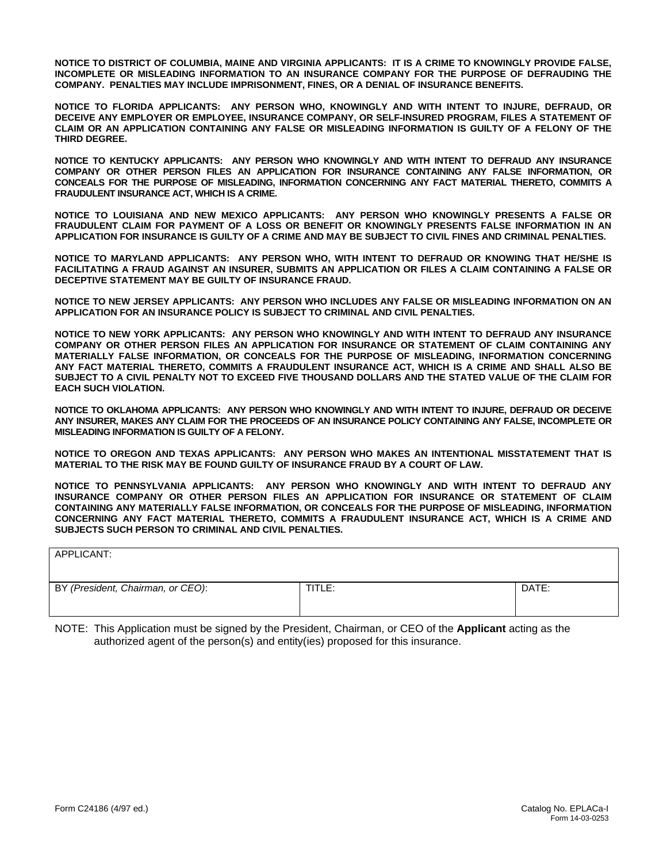**NOTICE TO DISTRICT OF COLUMBIA, MAINE AND VIRGINIA APPLICANTS: IT IS A CRIME TO KNOWINGLY PROVIDE FALSE, INCOMPLETE OR MISLEADING INFORMATION TO AN INSURANCE COMPANY FOR THE PURPOSE OF DEFRAUDING THE COMPANY. PENALTIES MAY INCLUDE IMPRISONMENT, FINES, OR A DENIAL OF INSURANCE BENEFITS.**

**NOTICE TO FLORIDA APPLICANTS: ANY PERSON WHO, KNOWINGLY AND WITH INTENT TO INJURE, DEFRAUD, OR DECEIVE ANY EMPLOYER OR EMPLOYEE, INSURANCE COMPANY, OR SELF-INSURED PROGRAM, FILES A STATEMENT OF CLAIM OR AN APPLICATION CONTAINING ANY FALSE OR MISLEADING INFORMATION IS GUILTY OF A FELONY OF THE THIRD DEGREE.**

**NOTICE TO KENTUCKY APPLICANTS: ANY PERSON WHO KNOWINGLY AND WITH INTENT TO DEFRAUD ANY INSURANCE COMPANY OR OTHER PERSON FILES AN APPLICATION FOR INSURANCE CONTAINING ANY FALSE INFORMATION, OR CONCEALS FOR THE PURPOSE OF MISLEADING, INFORMATION CONCERNING ANY FACT MATERIAL THERETO, COMMITS A FRAUDULENT INSURANCE ACT, WHICH IS A CRIME.**

**NOTICE TO LOUISIANA AND NEW MEXICO APPLICANTS: ANY PERSON WHO KNOWINGLY PRESENTS A FALSE OR FRAUDULENT CLAIM FOR PAYMENT OF A LOSS OR BENEFIT OR KNOWINGLY PRESENTS FALSE INFORMATION IN AN APPLICATION FOR INSURANCE IS GUILTY OF A CRIME AND MAY BE SUBJECT TO CIVIL FINES AND CRIMINAL PENALTIES.**

**NOTICE TO MARYLAND APPLICANTS: ANY PERSON WHO, WITH INTENT TO DEFRAUD OR KNOWING THAT HE/SHE IS FACILITATING A FRAUD AGAINST AN INSURER, SUBMITS AN APPLICATION OR FILES A CLAIM CONTAINING A FALSE OR DECEPTIVE STATEMENT MAY BE GUILTY OF INSURANCE FRAUD.**

**NOTICE TO NEW JERSEY APPLICANTS: ANY PERSON WHO INCLUDES ANY FALSE OR MISLEADING INFORMATION ON AN APPLICATION FOR AN INSURANCE POLICY IS SUBJECT TO CRIMINAL AND CIVIL PENALTIES.**

**NOTICE TO NEW YORK APPLICANTS: ANY PERSON WHO KNOWINGLY AND WITH INTENT TO DEFRAUD ANY INSURANCE COMPANY OR OTHER PERSON FILES AN APPLICATION FOR INSURANCE OR STATEMENT OF CLAIM CONTAINING ANY MATERIALLY FALSE INFORMATION, OR CONCEALS FOR THE PURPOSE OF MISLEADING, INFORMATION CONCERNING ANY FACT MATERIAL THERETO, COMMITS A FRAUDULENT INSURANCE ACT, WHICH IS A CRIME AND SHALL ALSO BE SUBJECT TO A CIVIL PENALTY NOT TO EXCEED FIVE THOUSAND DOLLARS AND THE STATED VALUE OF THE CLAIM FOR EACH SUCH VIOLATION.**

**NOTICE TO OKLAHOMA APPLICANTS: ANY PERSON WHO KNOWINGLY AND WITH INTENT TO INJURE, DEFRAUD OR DECEIVE ANY INSURER, MAKES ANY CLAIM FOR THE PROCEEDS OF AN INSURANCE POLICY CONTAINING ANY FALSE, INCOMPLETE OR MISLEADING INFORMATION IS GUILTY OF A FELONY.**

**NOTICE TO OREGON AND TEXAS APPLICANTS: ANY PERSON WHO MAKES AN INTENTIONAL MISSTATEMENT THAT IS MATERIAL TO THE RISK MAY BE FOUND GUILTY OF INSURANCE FRAUD BY A COURT OF LAW.**

**NOTICE TO PENNSYLVANIA APPLICANTS: ANY PERSON WHO KNOWINGLY AND WITH INTENT TO DEFRAUD ANY INSURANCE COMPANY OR OTHER PERSON FILES AN APPLICATION FOR INSURANCE OR STATEMENT OF CLAIM CONTAINING ANY MATERIALLY FALSE INFORMATION, OR CONCEALS FOR THE PURPOSE OF MISLEADING, INFORMATION CONCERNING ANY FACT MATERIAL THERETO, COMMITS A FRAUDULENT INSURANCE ACT, WHICH IS A CRIME AND SUBJECTS SUCH PERSON TO CRIMINAL AND CIVIL PENALTIES.**

APPLICANT: BY (President, Chairman, or CEO): TITLE: **Network** | TITLE: **DATE: DATE: DATE: DATE:** 

NOTE: This Application must be signed by the President, Chairman, or CEO of the **Applicant** acting as the authorized agent of the person(s) and entity(ies) proposed for this insurance.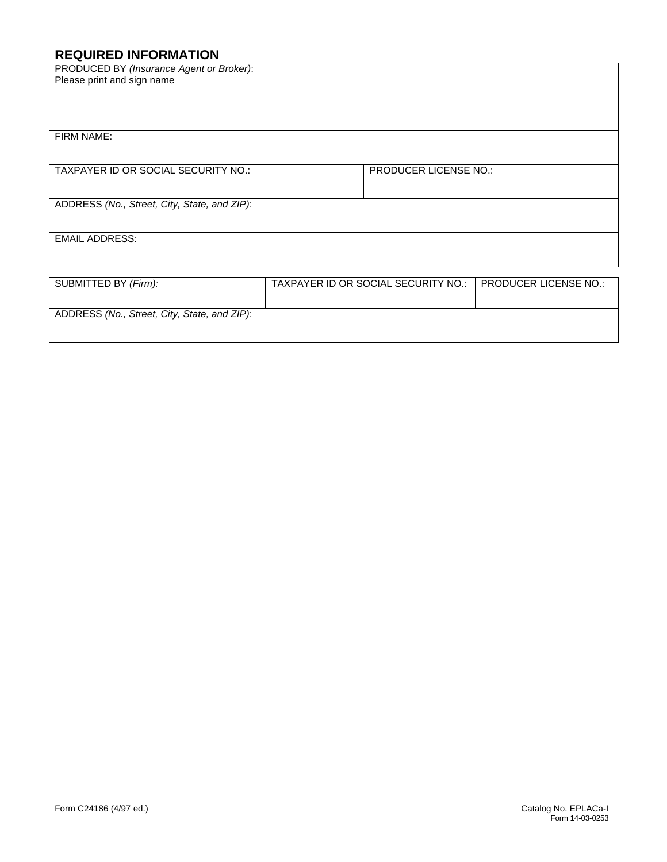# **REQUIRED INFORMATION**

| PRODUCED BY (Insurance Agent or Broker):     |                                     |                       |
|----------------------------------------------|-------------------------------------|-----------------------|
| Please print and sign name                   |                                     |                       |
|                                              |                                     |                       |
|                                              |                                     |                       |
|                                              |                                     |                       |
| FIRM NAME:                                   |                                     |                       |
|                                              |                                     |                       |
|                                              |                                     |                       |
| TAXPAYER ID OR SOCIAL SECURITY NO.:          | <b>PRODUCER LICENSE NO.:</b>        |                       |
|                                              |                                     |                       |
| ADDRESS (No., Street, City, State, and ZIP): |                                     |                       |
|                                              |                                     |                       |
|                                              |                                     |                       |
| <b>EMAIL ADDRESS:</b>                        |                                     |                       |
|                                              |                                     |                       |
|                                              |                                     |                       |
| SUBMITTED BY (Firm):                         | TAXPAYER ID OR SOCIAL SECURITY NO.: | PRODUCER LICENSE NO.: |
|                                              |                                     |                       |
| ADDRESS (No., Street, City, State, and ZIP): |                                     |                       |
|                                              |                                     |                       |
|                                              |                                     |                       |